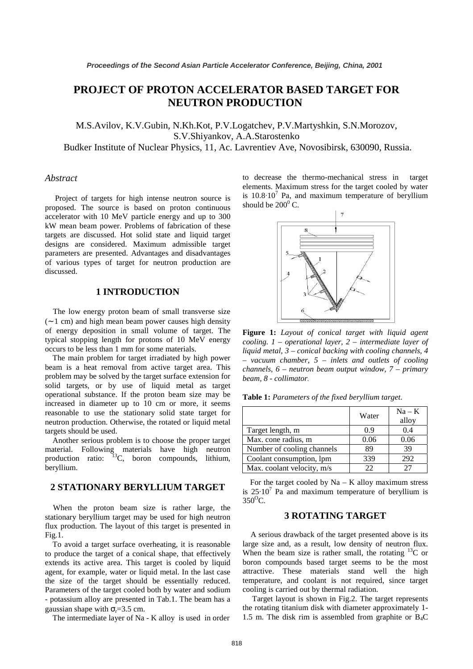# **PROJECT OF PROTON ACCELERATOR BASED TARGET FOR NEUTRON PRODUCTION**

M.S.Avilov, K.V.Gubin, N.Kh.Kot, P.V.Logatchev, P.V.Martyshkin, S.N.Morozov, S.V.Shiyankov, A.A.Starostenko

Budker Institute of Nuclear Physics, 11, Ac. Lavrentiev Ave, Novosibirsk, 630090, Russia.

#### *Abstract*

 Project of targets for high intense neutron source is proposed. The source is based on proton continuous accelerator with 10 MeV particle energy and up to 300 kW mean beam power. Problems of fabrication of these targets are discussed. Hot solid state and liquid target designs are considered. Maximum admissible target parameters are presented. Advantages and disadvantages of various types of target for neutron production are discussed.

#### **1 INTRODUCTION**

 The low energy proton beam of small transverse size (∼ 1 cm) and high mean beam power causes high density of energy deposition in small volume of target. The typical stopping length for protons of 10 MeV energy occurs to be less than 1 mm for some materials.

 The main problem for target irradiated by high power beam is a heat removal from active target area. This problem may be solved by the target surface extension for solid targets, or by use of liquid metal as target operational substance. If the proton beam size may be increased in diameter up to 10 cm or more, it seems reasonable to use the stationary solid state target for neutron production. Otherwise, the rotated or liquid metal targets should be used.

 Another serious problem is to choose the proper target material. Following materials have high neutron production ratio:  $13C$ , boron compounds, lithium, beryllium.

## **2 STATIONARY BERYLLIUM TARGET**

 When the proton beam size is rather large, the stationary beryllium target may be used for high neutron flux production. The layout of this target is presented in Fig.1.

 To avoid a target surface overheating, it is reasonable to produce the target of a conical shape, that effectively extends its active area. This target is cooled by liquid agent, for example, water or liquid metal. In the last case the size of the target should be essentially reduced. Parameters of the target cooled both by water and sodium - potassium alloy are presented in Tab.1. The beam has a gaussian shape with  $\sigma_r = 3.5$  cm.

The intermediate layer of Na - K alloy is used in order

to decrease the thermo-mechanical stress in target elements. Maximum stress for the target cooled by water is  $10.8 \cdot 10^7$  Pa, and maximum temperature of beryllium should be  $200^0$  C.



**Figure 1:** *Layout of conical target with liquid agent cooling. 1 – operational layer, 2 – intermediate layer of liquid metal, 3 – conical backing with cooling channels, 4 – vacuum chamber, 5 – inlets and outlets of cooling channels, 6 – neutron beam output window, 7 – primary beam, 8 - collimator.* 

**Table 1:** *Parameters of the fixed beryllium target*.

|                            | Water | $Na - K$<br>alloy |
|----------------------------|-------|-------------------|
| Target length, m           | 0.9   | 0.4               |
| Max. cone radius, m        | 0.06  | 0.06              |
| Number of cooling channels | 89    | 39                |
| Coolant consumption, lpm   | 339   | 292               |
| Max. coolant velocity, m/s | つつ    | つつ                |

For the target cooled by  $Na - K$  alloy maximum stress is  $25 \cdot 10^7$  Pa and maximum temperature of beryllium is  $350^{\circ}$ C.

#### **3 ROTATING TARGET**

 A serious drawback of the target presented above is its large size and, as a result, low density of neutron flux. When the beam size is rather small, the rotating  $^{13}$ C or boron compounds based target seems to be the most attractive. These materials stand well the high temperature, and coolant is not required, since target cooling is carried out by thermal radiation.

 Target layout is shown in Fig.2. The target represents the rotating titanium disk with diameter approximately 1- 1.5 m. The disk rim is assembled from graphite or  $B_4C$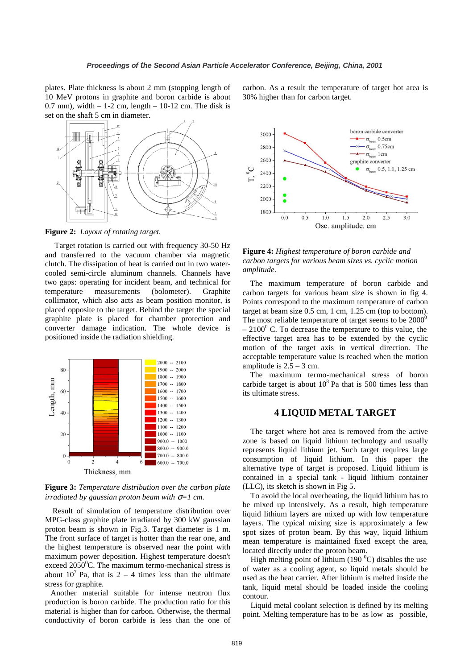plates. Plate thickness is about 2 mm (stopping length of 10 MeV protons in graphite and boron carbide is about  $0.7$  mm), width  $-1$ -2 cm, length  $-10$ -12 cm. The disk is set on the shaft 5 cm in diameter.



**Figure 2:** *Layout of rotating target.* 

 Target rotation is carried out with frequency 30-50 Hz and transferred to the vacuum chamber via magnetic clutch. The dissipation of heat is carried out in two watercooled semi-circle aluminum channels. Channels have two gaps: operating for incident beam, and technical for temperature measurements (bolometer). Graphite collimator, which also acts as beam position monitor, is placed opposite to the target. Behind the target the special graphite plate is placed for chamber protection and converter damage indication. The whole device is positioned inside the radiation shielding.



**Figure 3:** *Temperature distribution over the carbon plate irradiated by gaussian proton beam with* σ*=1 cm.* 

 Result of simulation of temperature distribution over MPG-class graphite plate irradiated by 300 kW gaussian proton beam is shown in Fig.3. Target diameter is 1 m. The front surface of target is hotter than the rear one, and the highest temperature is observed near the point with maximum power deposition. Highest temperature doesn't exceed  $2050^{\circ}$ C. The maximum termo-mechanical stress is about  $10^7$  Pa, that is 2 – 4 times less than the ultimate stress for graphite.

Another material suitable for intense neutron flux production is boron carbide. The production ratio for this material is higher than for carbon. Otherwise, the thermal conductivity of boron carbide is less than the one of carbon. As a result the temperature of target hot area is 30% higher than for carbon target.



**Figure 4:** *Highest temperature of boron carbide and carbon targets for various beam sizes vs. cyclic motion amplitude*.

 The maximum temperature of boron carbide and carbon targets for various beam size is shown in fig 4. Points correspond to the maximum temperature of carbon target at beam size 0.5 cm, 1 cm, 1.25 cm (top to bottom). The most reliable temperature of target seems to be  $2000^{\circ}$  $-2100^{\circ}$  C. To decrease the temperature to this value, the effective target area has to be extended by the cyclic motion of the target axis in vertical direction. The acceptable temperature value is reached when the motion amplitude is  $2.5 - 3$  cm.

 The maximum termo-mechanical stress of boron carbide target is about  $10^8$  Pa that is 500 times less than its ultimate stress.

## **4 LIQUID METAL TARGET**

 The target where hot area is removed from the active zone is based on liquid lithium technology and usually represents liquid lithium jet. Such target requires large consumption of liquid lithium. In this paper the alternative type of target is proposed. Liquid lithium is contained in a special tank - liquid lithium container (LLC), its sketch is shown in Fig 5.

 To avoid the local overheating, the liquid lithium has to be mixed up intensively. As a result, high temperature liquid lithium layers are mixed up with low temperature layers. The typical mixing size is approximately a few spot sizes of proton beam. By this way, liquid lithium mean temperature is maintained fixed except the area, located directly under the proton beam.

High melting point of lithium (190 $\mathrm{^0C}$ ) disables the use of water as a cooling agent, so liquid metals should be used as the heat carrier. After lithium is melted inside the tank, liquid metal should be loaded inside the cooling contour.

 Liquid metal coolant selection is defined by its melting point. Melting temperature has to be as low as possible,